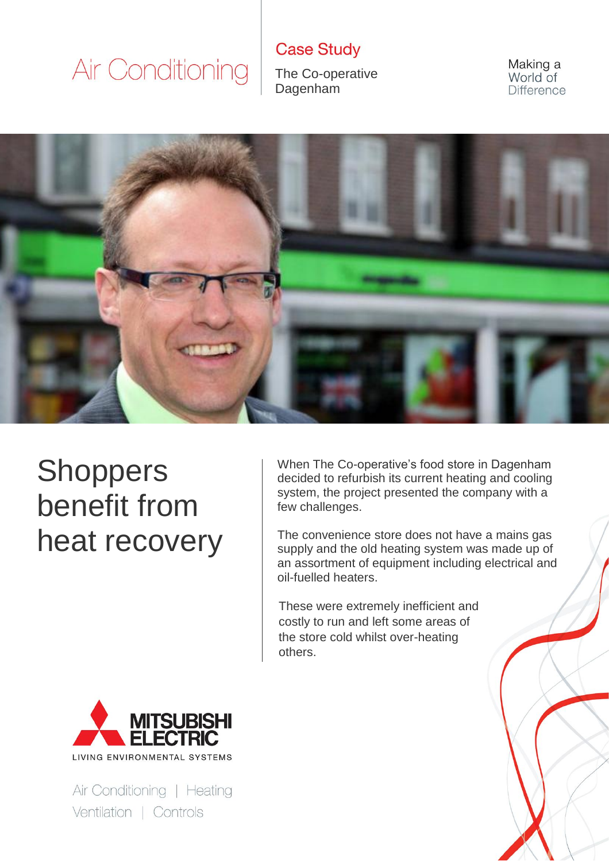**Case Study** 

The Co-operative Dagenham

Making a World of Difference



### **Shoppers** benefit from heat recovery

When The Co-operative's food store in Dagenham decided to refurbish its current heating and cooling system, the project presented the company with a few challenges.

The convenience store does not have a mains gas supply and the old heating system was made up of an assortment of equipment including electrical and oil-fuelled heaters.

These were extremely inefficient and costly to run and left some areas of the store cold whilst over-heating others.



Air Conditioning | Heating Ventilation | Controls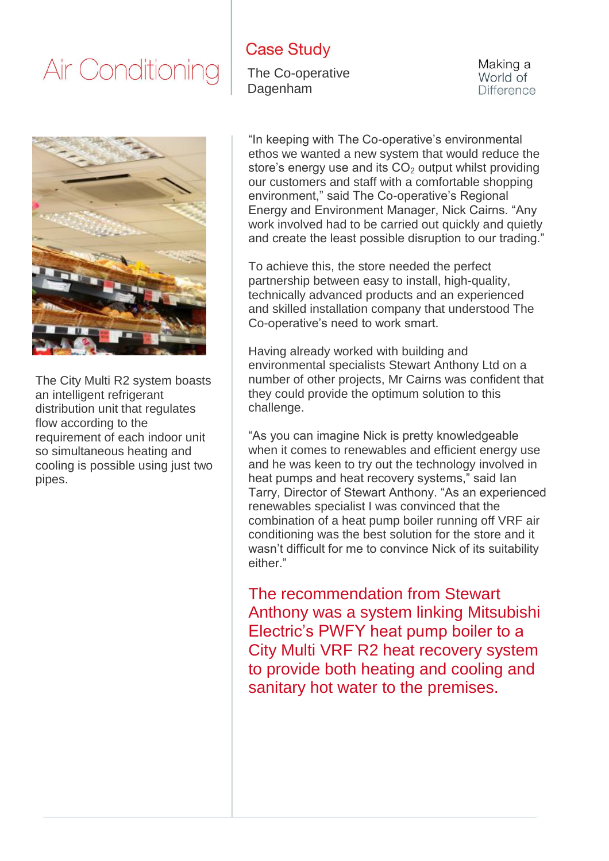#### **Case Study**

The Co-operative **Dagenham** 

Making a World of **Difference** 



The City Multi R2 system boasts an intelligent refrigerant distribution unit that regulates flow according to the requirement of each indoor unit so simultaneous heating and cooling is possible using just two pipes.

"In keeping with The Co-operative's environmental ethos we wanted a new system that would reduce the store's energy use and its  $CO<sub>2</sub>$  output whilst providing our customers and staff with a comfortable shopping environment," said The Co-operative's Regional Energy and Environment Manager, Nick Cairns. "Any work involved had to be carried out quickly and quietly and create the least possible disruption to our trading."

To achieve this, the store needed the perfect partnership between easy to install, high-quality, technically advanced products and an experienced and skilled installation company that understood The Co-operative's need to work smart.

Having already worked with building and environmental specialists Stewart Anthony Ltd on a number of other projects, Mr Cairns was confident that they could provide the optimum solution to this challenge.

"As you can imagine Nick is pretty knowledgeable when it comes to renewables and efficient energy use and he was keen to try out the technology involved in heat pumps and heat recovery systems," said Ian Tarry, Director of Stewart Anthony. "As an experienced renewables specialist I was convinced that the combination of a heat pump boiler running off VRF air conditioning was the best solution for the store and it wasn't difficult for me to convince Nick of its suitability either."

The recommendation from Stewart Anthony was a system linking Mitsubishi Electric's PWFY heat pump boiler to a City Multi VRF R2 heat recovery system to provide both heating and cooling and sanitary hot water to the premises.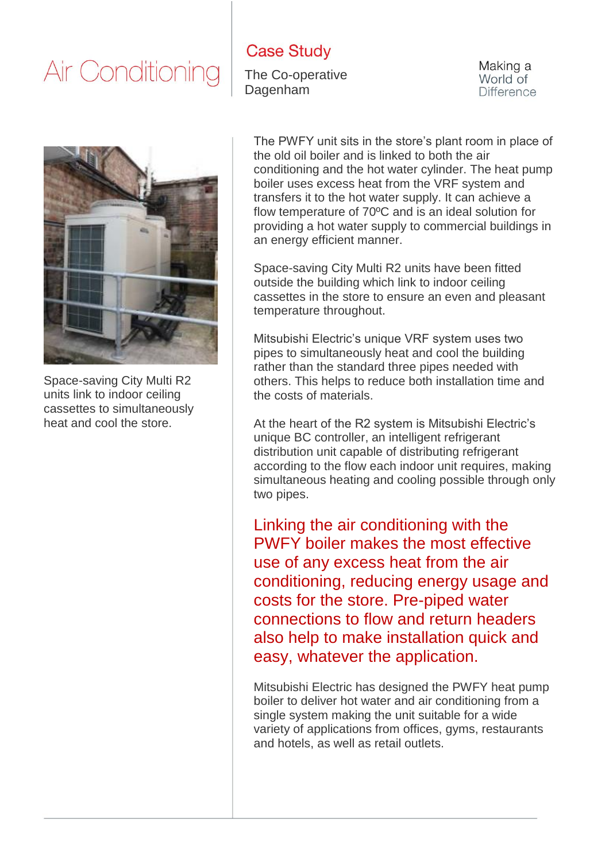#### **Case Study**

The Co-operative Dagenham

Making a World of **Difference** 



Space-saving City Multi R2 units link to indoor ceiling cassettes to simultaneously heat and cool the store.

The PWFY unit sits in the store's plant room in place of the old oil boiler and is linked to both the air conditioning and the hot water cylinder. The heat pump boiler uses excess heat from the VRF system and transfers it to the hot water supply. It can achieve a flow temperature of 70ºC and is an ideal solution for providing a hot water supply to commercial buildings in an energy efficient manner.

Space-saving City Multi R2 units have been fitted outside the building which link to indoor ceiling cassettes in the store to ensure an even and pleasant temperature throughout.

Mitsubishi Electric's unique VRF system uses two pipes to simultaneously heat and cool the building rather than the standard three pipes needed with others. This helps to reduce both installation time and the costs of materials.

At the heart of the R2 system is Mitsubishi Electric's unique BC controller, an intelligent refrigerant distribution unit capable of distributing refrigerant according to the flow each indoor unit requires, making simultaneous heating and cooling possible through only two pipes.

Linking the air conditioning with the PWFY boiler makes the most effective use of any excess heat from the air conditioning, reducing energy usage and costs for the store. Pre-piped water connections to flow and return headers also help to make installation quick and easy, whatever the application.

Mitsubishi Electric has designed the PWFY heat pump boiler to deliver hot water and air conditioning from a single system making the unit suitable for a wide variety of applications from offices, gyms, restaurants and hotels, as well as retail outlets.